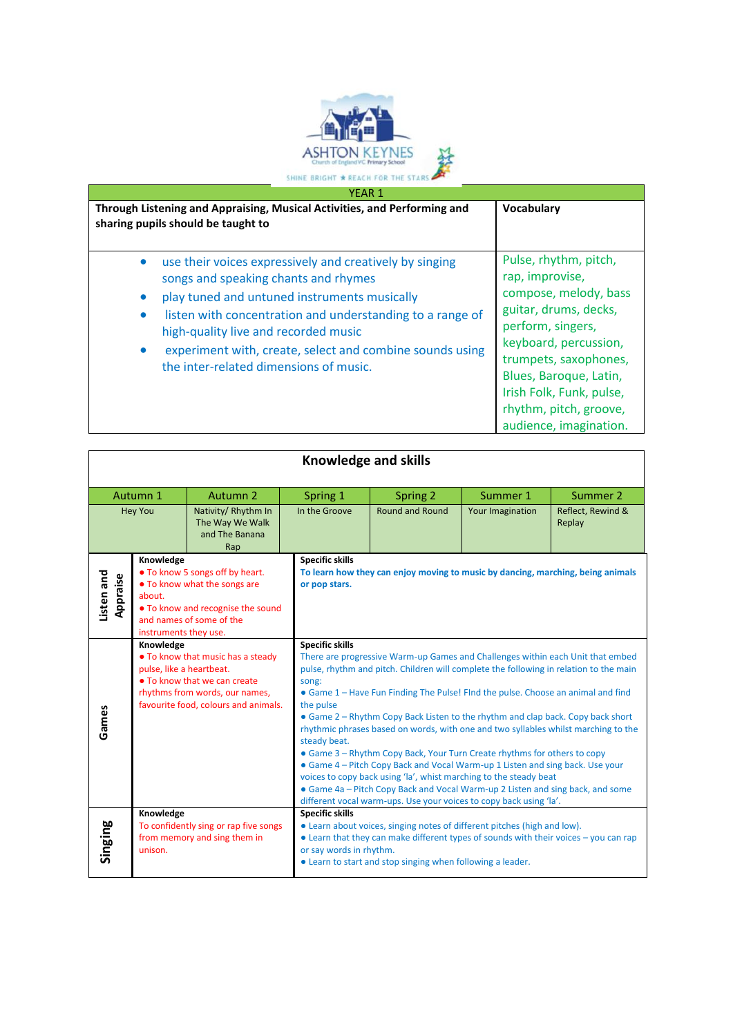

|           | Through Listening and Appraising, Musical Activities, and Performing and<br>sharing pupils should be taught to                                                                                                                                                                                                                                             | Vocabulary                                                                                                                                                                                                                                                                  |  |
|-----------|------------------------------------------------------------------------------------------------------------------------------------------------------------------------------------------------------------------------------------------------------------------------------------------------------------------------------------------------------------|-----------------------------------------------------------------------------------------------------------------------------------------------------------------------------------------------------------------------------------------------------------------------------|--|
| $\bullet$ | use their voices expressively and creatively by singing<br>songs and speaking chants and rhymes<br>play tuned and untuned instruments musically<br>listen with concentration and understanding to a range of<br>high-quality live and recorded music<br>experiment with, create, select and combine sounds using<br>the inter-related dimensions of music. | Pulse, rhythm, pitch,<br>rap, improvise,<br>compose, melody, bass<br>guitar, drums, decks,<br>perform, singers,<br>keyboard, percussion,<br>trumpets, saxophones,<br>Blues, Baroque, Latin,<br>Irish Folk, Funk, pulse,<br>rhythm, pitch, groove,<br>audience, imagination. |  |

| <b>Knowledge and skills</b>                                                      |                                                                                                                                                                                      |                                                                       |                                                                                                                                                                                                                                                                                                                                                                                                                                                                                                                                                                                                                                                                                                                                                                                                                                                                                                |                                                                                                                                                                                                                                                                     |                             |  |  |
|----------------------------------------------------------------------------------|--------------------------------------------------------------------------------------------------------------------------------------------------------------------------------------|-----------------------------------------------------------------------|------------------------------------------------------------------------------------------------------------------------------------------------------------------------------------------------------------------------------------------------------------------------------------------------------------------------------------------------------------------------------------------------------------------------------------------------------------------------------------------------------------------------------------------------------------------------------------------------------------------------------------------------------------------------------------------------------------------------------------------------------------------------------------------------------------------------------------------------------------------------------------------------|---------------------------------------------------------------------------------------------------------------------------------------------------------------------------------------------------------------------------------------------------------------------|-----------------------------|--|--|
| Autumn 2<br>Autumn 1                                                             |                                                                                                                                                                                      | Spring 1                                                              | Spring 2                                                                                                                                                                                                                                                                                                                                                                                                                                                                                                                                                                                                                                                                                                                                                                                                                                                                                       | Summer 1                                                                                                                                                                                                                                                            | Summer 2                    |  |  |
| <b>Hey You</b><br>Nativity/Rhythm In<br>The Way We Walk<br>and The Banana<br>Rap |                                                                                                                                                                                      | In the Groove                                                         | <b>Round and Round</b>                                                                                                                                                                                                                                                                                                                                                                                                                                                                                                                                                                                                                                                                                                                                                                                                                                                                         | Your Imagination                                                                                                                                                                                                                                                    | Reflect, Rewind &<br>Replay |  |  |
| Listen and<br>Appraise                                                           | Knowledge<br>• To know 5 songs off by heart.<br>• To know what the songs are<br>about.<br>• To know and recognise the sound<br>and names of some of the<br>instruments they use.     |                                                                       | <b>Specific skills</b><br>or pop stars.                                                                                                                                                                                                                                                                                                                                                                                                                                                                                                                                                                                                                                                                                                                                                                                                                                                        | To learn how they can enjoy moving to music by dancing, marching, being animals                                                                                                                                                                                     |                             |  |  |
| Games                                                                            | Knowledge<br>• To know that music has a steady<br>pulse, like a heartbeat.<br>• To know that we can create<br>rhythms from words, our names,<br>favourite food, colours and animals. |                                                                       | <b>Specific skills</b><br>There are progressive Warm-up Games and Challenges within each Unit that embed<br>pulse, rhythm and pitch. Children will complete the following in relation to the main<br>song:<br>• Game 1 – Have Fun Finding The Pulse! FInd the pulse. Choose an animal and find<br>the pulse<br>• Game 2 – Rhythm Copy Back Listen to the rhythm and clap back. Copy back short<br>rhythmic phrases based on words, with one and two syllables whilst marching to the<br>steady beat.<br>• Game 3 – Rhythm Copy Back, Your Turn Create rhythms for others to copy<br>• Game 4 – Pitch Copy Back and Vocal Warm-up 1 Listen and sing back. Use your<br>voices to copy back using 'la', whist marching to the steady beat<br>• Game 4a - Pitch Copy Back and Vocal Warm-up 2 Listen and sing back, and some<br>different vocal warm-ups. Use your voices to copy back using 'la'. |                                                                                                                                                                                                                                                                     |                             |  |  |
| Singing                                                                          | Knowledge<br>unison.                                                                                                                                                                 | To confidently sing or rap five songs<br>from memory and sing them in | <b>Specific skills</b>                                                                                                                                                                                                                                                                                                                                                                                                                                                                                                                                                                                                                                                                                                                                                                                                                                                                         | • Learn about voices, singing notes of different pitches (high and low).<br>$\bullet$ Learn that they can make different types of sounds with their voices $-$ you can rap<br>or say words in rhythm.<br>• Learn to start and stop singing when following a leader. |                             |  |  |